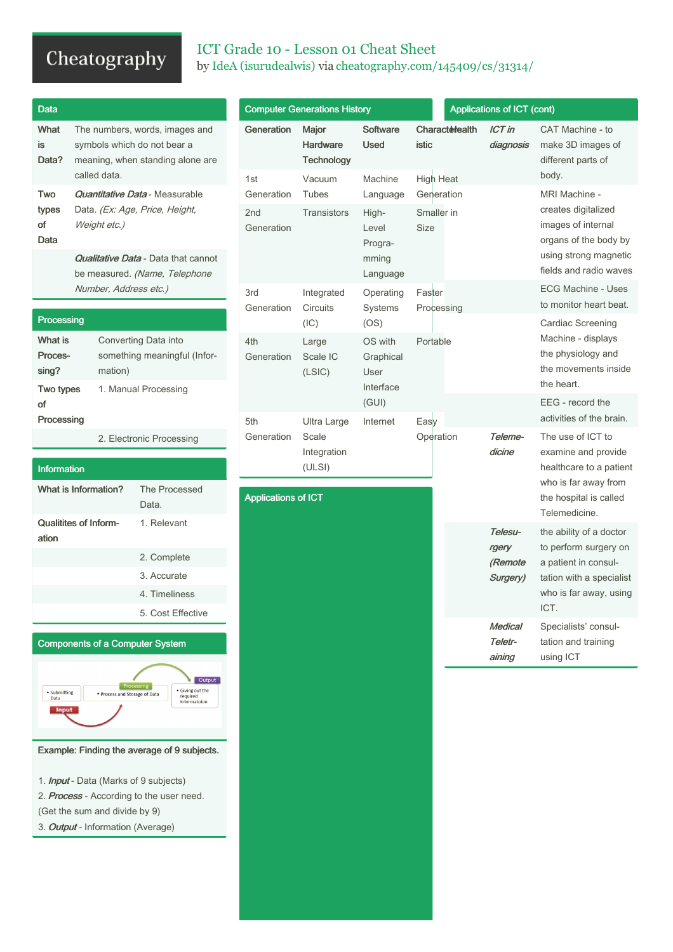## Cheatography

## ICT Grade 10 - Lesson 01 Cheat Sheet by IdeA [\(isurudealwis\)](http://www.cheatography.com/isurudealwis/) via [cheatography.com/145409/cs/31314/](http://www.cheatography.com/isurudealwis/cheat-sheets/ict-grade-10-lesson-01)

| Data                          |                                                                                                                   |  |  |  |
|-------------------------------|-------------------------------------------------------------------------------------------------------------------|--|--|--|
| What<br>is<br>Data?           | The numbers, words, images and<br>symbols which do not bear a<br>meaning, when standing alone are<br>called data. |  |  |  |
| Two<br>types<br>Ωf<br>Data    | <b>Quantitative Data - Measurable</b><br>Data. (Ex: Age, Price, Height,<br>Weight etc.)                           |  |  |  |
|                               | <b>Qualitative Data - Data that cannot</b><br>be measured. (Name, Telephone<br>Number, Address etc.)              |  |  |  |
| Processing                    |                                                                                                                   |  |  |  |
| What is<br>Proces-<br>sing?   | Converting Data into<br>something meaningful (Infor-<br>mation)                                                   |  |  |  |
| Two types<br>οf<br>Processing | 1. Manual Processing                                                                                              |  |  |  |
|                               |                                                                                                                   |  |  |  |

2. Electronic Processing

| Information           |                        |
|-----------------------|------------------------|
| What is Information?  | The Processed<br>Data. |
|                       |                        |
| Qualitites of Inform- | 1. Relevant            |
| ation                 |                        |
|                       | 2. Complete            |
|                       | 3. Accurate            |
|                       | 4. Timeliness          |
|                       | 5. Cost Effective      |



Example: Finding the average of 9 subjects.

1. **Input** - Data (Marks of 9 subjects) 2. Process - According to the user need. (Get the sum and divide by 9) 3. Output - Information (Average)

| <b>Computer Generations History</b> |                                                         |                                                   |                                                    | Applications of ICT (cont) |                                                                                                                       |  |
|-------------------------------------|---------------------------------------------------------|---------------------------------------------------|----------------------------------------------------|----------------------------|-----------------------------------------------------------------------------------------------------------------------|--|
| Generation<br>1st                   | Major<br><b>Hardware</b><br><b>Technology</b><br>Vacuum | Software<br><b>Used</b><br>Machine                | <b>Characterealth</b><br><b>istic</b><br>High Heat | <b>ICT</b> in<br>diagnosis | CAT Machine - to<br>make 3D images of<br>different parts of<br>body.                                                  |  |
| Generation                          | Tubes                                                   | Language                                          | Generation                                         |                            | <b>MRI Machine -</b>                                                                                                  |  |
| 2 <sub>nd</sub><br>Generation       | Transistors                                             | High-<br>Level<br>Progra-<br>mming<br>Language    | Smaller in<br><b>Size</b>                          |                            | creates digitalized<br>images of internal<br>organs of the body by<br>using strong magnetic<br>fields and radio waves |  |
| 3rd<br>Generation                   | Integrated<br>Circuits                                  | Operating<br><b>Systems</b>                       | Faster<br>Processing                               |                            | <b>ECG Machine - Uses</b><br>to monitor heart beat.                                                                   |  |
| 4th<br>Generation                   | (IC)<br>Large<br>Scale IC<br>(LSIC)                     | (OS)<br>OS with<br>Graphical<br>User<br>Interface | Portable                                           |                            | <b>Cardiac Screening</b><br>Machine - displays<br>the physiology and<br>the movements inside<br>the heart.            |  |
| 5th                                 | Ultra Large                                             | (GUI)<br>Internet                                 | Easy                                               |                            | EEG - record the<br>activities of the brain.                                                                          |  |
| Generation                          | Scale<br>Integration<br>(ULSI)                          |                                                   | Operation                                          | Teleme-<br>dicine          | The use of ICT to<br>examine and provide<br>healthcare to a patient                                                   |  |
| <b>Applications of ICT</b>          |                                                         |                                                   |                                                    |                            | who is far away from<br>the hospital is called                                                                        |  |

|                | the nospital is called<br>Telemedicine. |
|----------------|-----------------------------------------|
| Telesu-        | the ability of a doctor                 |
| rgery          | to perform surgery on                   |
| (Remote        | a patient in consul-                    |
| Surgery)       | tation with a specialist                |
|                | who is far away, using                  |
|                | ICT.                                    |
| <b>Medical</b> | Specialists' consul-                    |
| Teletr-        | tation and training                     |
| aining         | using ICT                               |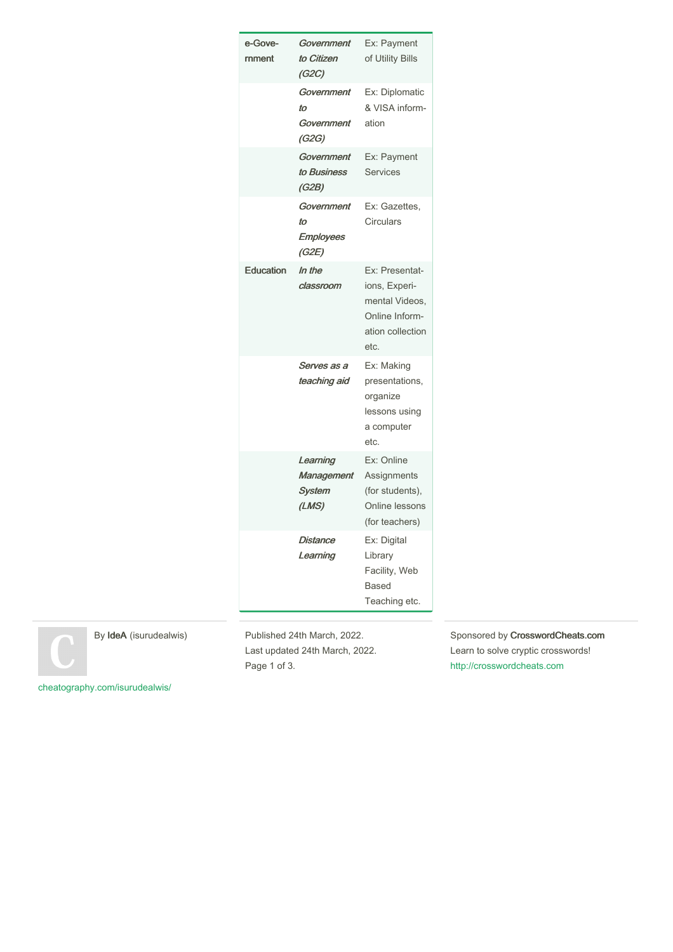| e-Gove-<br>rnment | Government<br>to Citizen<br>(G2C)             | Ex: Payment<br>of Utility Bills                                                                 |
|-------------------|-----------------------------------------------|-------------------------------------------------------------------------------------------------|
|                   | Government<br>to<br>Government<br>(G2G)       | Ex: Diplomatic<br>& VISA inform-<br>ation                                                       |
|                   | Government<br>to Business<br>(G2B)            | Ex: Payment<br><b>Services</b>                                                                  |
|                   | Government<br>to<br><b>Employees</b><br>(G2E) | Ex: Gazettes,<br>Circulars                                                                      |
| Education         | In the<br>classroom                           | Ex: Presentat-<br>ions, Experi-<br>mental Videos,<br>Online Inform-<br>ation collection<br>etc. |
|                   | Serves as a<br>teaching aid                   | Ex: Making<br>presentations,<br>organize<br>lessons using<br>a computer<br>etc.                 |
|                   | Learning<br>Management<br>System<br>(LMS)     | Ex: Online<br>Assignments<br>(for students),<br>Online lessons<br>(for teachers)                |
|                   | <b>Distance</b><br>Learning                   | Ex: Digital<br>Library<br>Facility, Web<br><b>Based</b><br>Teaching etc.                        |



By IdeA (isurudealwis)

Published 24th March, 2022. Last updated 24th March, 2022. Page 1 of 3.

Sponsored by CrosswordCheats.com Learn to solve cryptic crosswords! <http://crosswordcheats.com>

[cheatography.com/isurudealwis/](http://www.cheatography.com/isurudealwis/)